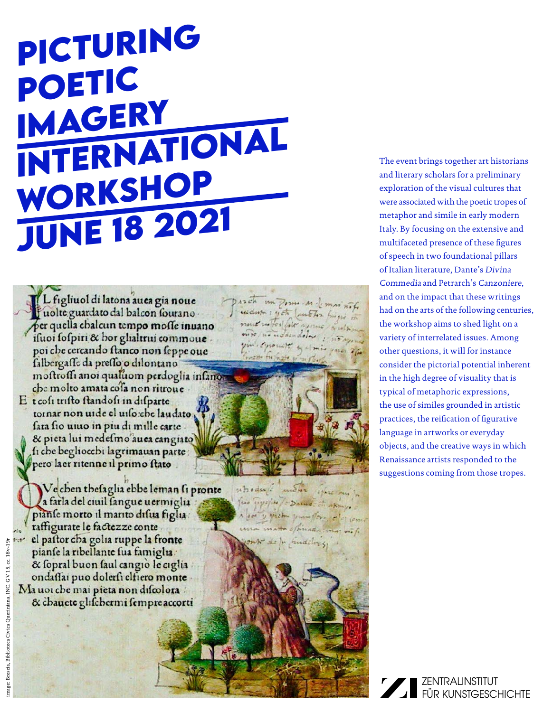# **Picturing Poetic Imagery International Workshop June 18 2021**

L figliuol di latona auea gia noue Juolte guardato dal balcon sourano per quella chalcun tempo mosse inuano ifuoi fofpiri & hor glialtrui commoue. poi che cercando ftanco non feppe oue falbergaffe da preffo o dilontano mostrosii anoi qualuom perdoglia infanon che molto amata cofa non ritroue

E t cofi trifto ftandofi in difparte tornar non uide el uiso che laudato fara fio unuo in piu di mille carte. & pieta lui medefmo auea cangiato fi che begliocchi lagrimauan parte pero la er ritenne il primo ftato

Vecben thefaglia ebbe leman fi pronte a farla del ciuil sangue uermiglia piante morto il marito difua figlia raffigurate le factezze conte el pattor cha golia ruppe la fronte pianse la ribellante sua famiglia. & fopral buon faul cangio le ciglia ondaflai puo dolerfi elfiero monte Ma uoi che mai pieta non discolora & chauete glifchermi fempre accorti

The event brings together art historians and literary scholars for a preliminary exploration of the visual cultures that were associated with the poetic tropes of metaphor and simile in early modern Italy. By focusing on the extensive and multifaceted presence of these figures of speech in two foundational pillars of Italian literature, Dante's Divina Commedia and Petrarch's Canzoniere, and on the impact that these writings had on the arts of the following centuries, the workshop aims to shed light on a variety of interrelated issues. Among other questions, it will for instance consider the pictorial potential inherent in the high degree of visuality that is typical of metaphoric expressions, the use of similes grounded in artistic practices, the reification of figurative language in artworks or everyday objects, and the creative ways in which Renaissance artists responded to the suggestions coming from those tropes.

proch un pome so l'emission widwa : yet lunctor frigis in

instandalos : 50

10 YAZE MI

Typofin / = Dalud . Et Aking. a look y pick youngfor elected

nout notes fole assure

yin equivate galmis

the function of

Atoda & more

ma matta official.

mr de po findilosis